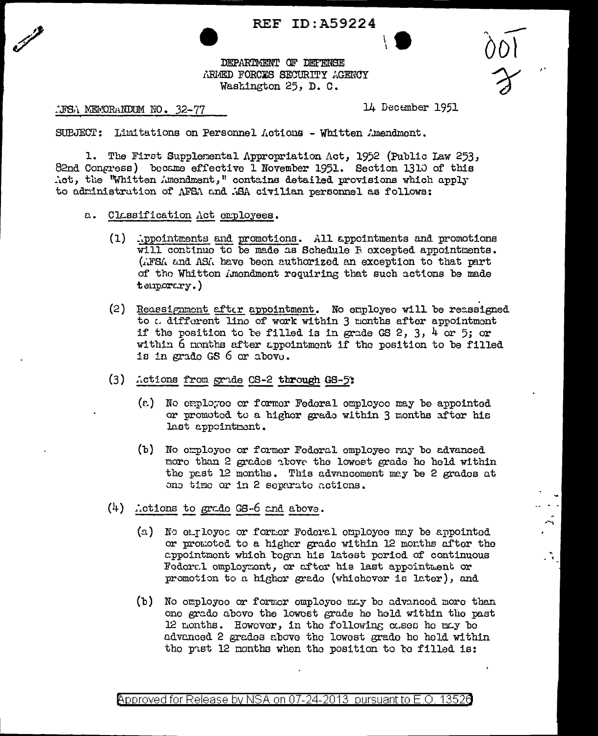## **REF ID: A59224**



DEPARTMENT OF DEFENSE ARMED FORCES SECURITY AGENCY Washington 25, D. C.

**TESA MEMORANDUM NO. 32-77** 

14 December 1951

 $\frac{1}{3}$ 

SUBJECT: Limitations on Personnel Actions - Whitten Amendment.

1. The First Supplemental Appropriation Act, 1952 (Public Law 253, 82nd Congress) became effective 1 November 1951. Section 1310 of this Act, the "Whitten Amendment," contains detailed provisions which apply to administration of AFSA and ASA civilian personnel as follows:

- a. Classification Act employees.
	- (1) ippointments and promotions. All appointments and promotions will continue to be made as Schedule F excepted appointments. (AFSA and ASA have been authorized an exception to that part of the Whitton Amendment requiring that such actions be made temporary.)
	- (2) Reassignment after appointment. No employee will be reassigned to .. different line of work within 3 months after appointment if the position to be filled is in grade GS 2, 3, 4 or 5; or within 6 months after appointment if the position to be filled is in grado GS 6 or above.
	- (3) Actions from grade CS-2 through GS-5:
		- (a) No employee or former Federal employee may be appointed or promoted to a higher grade within 3 months after his last appointment.
		- (b) No employee or former Federal employee may be advanced more than 2 grades above the lowest grade he held within the past 12 months. This advancement may be 2 grades at one time or in 2 separate actions.
	- $(4)$  Actions to grade GS-6 and above.
		- (a) No employee or former Foderal employee may be appointed or promoted to a higher grade within 12 months after the appointmont which bogan his latest period of continuous Federal employment, or after his last appointment or promotion to a highor grado (whichever is later), and
		- (b) No omployee or formor employee may be advanced more than one grade above the lowest grade he held within the past 12 months. However, in the following cases he may be advanced 2 grades above the lowest grade he hold within the past 12 months when the position to be filled is:

Approved for Release by NSA on 07-24-2013 pursuant to E.O. 13520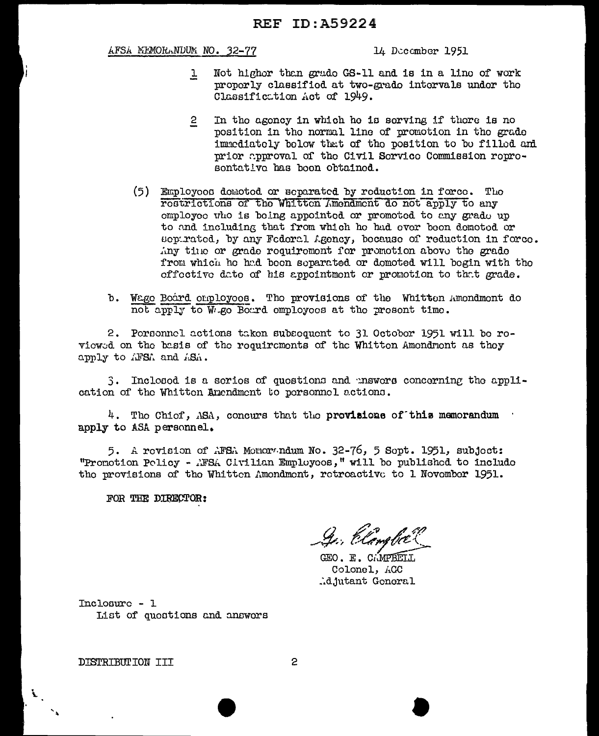## AFSA MEMORANDUM NO. 32-77

14 December 1951

- Not higher than grade GS-11 and is in a line of work  $\overline{r}$ properly classified at two-grade intervals under the Classification Act of 1949.
- In the agency in which he is serving if there is no  $\overline{2}$ position in the normal line of promotion in the grade immediately below that of the position to be filled and prior approval of the Civil Service Commission represontative has been obtained.
- (5) Employees domoted or separated by reduction in force. The restrictions of the Whitten Amendment do not apply to any omployee who is being appointed or promoted to any grade up to and including that from which he had ever been demoted or separated, by any Federal Agency, because of reduction in force. Any time or grade requirement for promotion above the grade from which he had been separated or demoted will begin with the offoctive date of his appointment or promotion to that grade.
- b. Wage Board cuployees. The provisions of the Whitten Amondment do not apply to W.go Board employees at the present time.

2. Porsonnel actions taken subsequent to 31 October 1951 will be roviewed on the basis of the requirements of the Whitten Amendrant as they apply to AFSA and ASA.

3. Inclosed is a series of questions and mawers concerning the application of the Whitten Amendment to personnel actions.

 $4.$  The Chief, ASA, concurs that the provisions of this memorandum apply to ASA personnel.

5. A revision of AFSA Monorandum No. 32-76, 5 Sept. 1951, subject: "Promotion Policy - AFSA Civilian Employoos," will be published to include the provisions of the Whitten Amondment, retreactive to 1 November 1951.

FOR THE DIRECTOR:

Ge, Elember

GEO. E. CAMPBELI Colonel, ACC djutant Goneral.

 $Incloaurc - 1$ List of quostions and answors

DISTRIBUTION III

 $\mathbf{v}_1$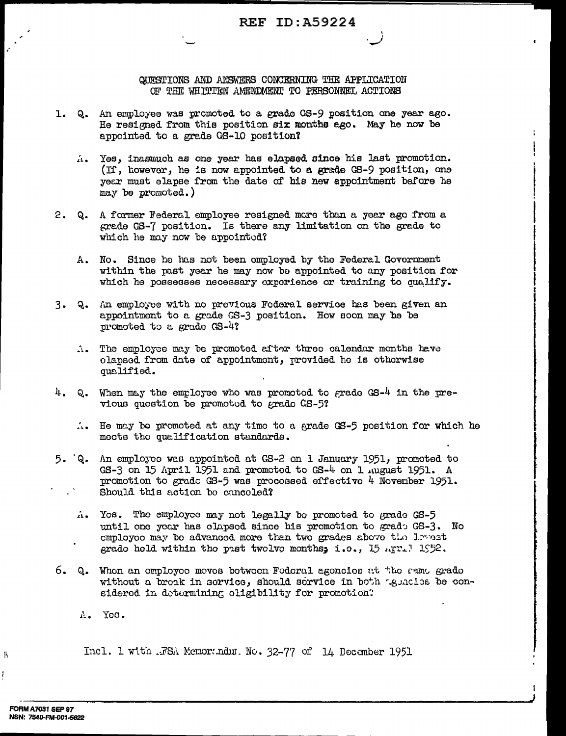QUESTIONS AND ANSWERS CONCERNING THE APPLICATION OF THE WHITTEN AMENDMENT TO PERSONNEL ACTIONS

- 1. Q. An employee was promoted to a grade CS-9 position one year ago. He resigned from this position six months ago. May he now be appointed to a grade GS-10 position?
	- A. Yes, inasmuch as one year has elapsed since his last promotion. (If, however, he is now appointed to a grade GS-9 position, one year must elapse from the date of his new appointment before he may be promoted.)
- A former Federal employee resigned more than a year ago from a  $2. Q.$ grade GS-7 position. Is there any limitation on the grade to which he may now be appointed?
	- A. No. Since he has not been employed by the Federal Government within the past year he may now be appointed to any position for which he possesses necessary experience or training to qualify.
- 3. Q. An employee with no previous Foderal service has been given an appointment to a grade GS-3 position. How soon may be be promoted to a grade GS-4?
	- A. The employee may be promoted after three calendar months have elapsed from date of appointment, provided he is otherwise qualified.
- $4. Q.$ When may the employee who was promoted to grade  $GS-4$  in the previous question be promoted to grade GS-5?
	- A. He may be promoted at any time to a grade GS-5 position for which he mects the qualification standards.
- 5. Q. An employee was appointed at GS-2 on 1 January 1951, promoted to GS-3 on 15 April 1951 and promotod to GS-4 on 1 August 1951. A promotion to grade  $GS-5$  was processed effective 4 November 1951. Should this action be canceled?
	- A. Yos. The employee may not legally be promoted to grade GS-5 until one year has olapsed since his promotion to grade GS-3. No employee may be advanced more than two grades above the levest grado held within the past twolve months; i.e., 15 Apr. 1952.
- 6. Q. When an employee moves between Federal agencies at the rame grade without a break in service, should service in both tenation be considered in determining oligibility for promotion.
	- A. Yes.

Incl. 1 with .FSA Memorandum. No. 32-77 of 14 December 1951

Ÿ,

I